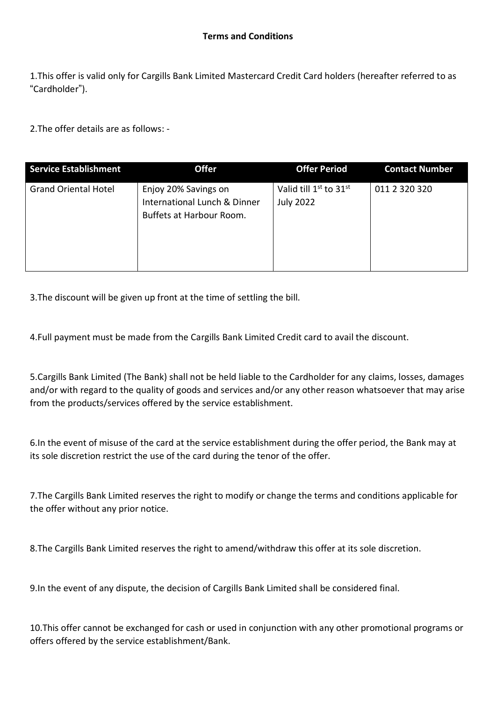1.This offer is valid only for Cargills Bank Limited Mastercard Credit Card holders (hereafter referred to as "Cardholder").

2.The offer details are as follows: -

| <b>Service Establishment</b> | <b>Offer</b>                                                                     | <b>Offer Period</b>                                                | <b>Contact Number</b> |
|------------------------------|----------------------------------------------------------------------------------|--------------------------------------------------------------------|-----------------------|
| <b>Grand Oriental Hotel</b>  | Enjoy 20% Savings on<br>International Lunch & Dinner<br>Buffets at Harbour Room. | Valid till 1 <sup>st</sup> to 31 <sup>st</sup><br><b>July 2022</b> | 011 2 320 320         |

3.The discount will be given up front at the time of settling the bill.

4.Full payment must be made from the Cargills Bank Limited Credit card to avail the discount.

5.Cargills Bank Limited (The Bank) shall not be held liable to the Cardholder for any claims, losses, damages and/or with regard to the quality of goods and services and/or any other reason whatsoever that may arise from the products/services offered by the service establishment.

6.In the event of misuse of the card at the service establishment during the offer period, the Bank may at its sole discretion restrict the use of the card during the tenor of the offer.

7.The Cargills Bank Limited reserves the right to modify or change the terms and conditions applicable for the offer without any prior notice.

8.The Cargills Bank Limited reserves the right to amend/withdraw this offer at its sole discretion.

9.In the event of any dispute, the decision of Cargills Bank Limited shall be considered final.

10.This offer cannot be exchanged for cash or used in conjunction with any other promotional programs or offers offered by the service establishment/Bank.